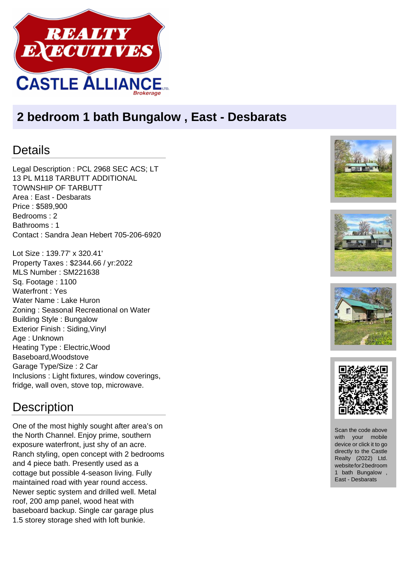

## **2 bedroom 1 bath Bungalow , East - Desbarats**

## Details

Legal Description : PCL 2968 SEC ACS; LT 13 PL M118 TARBUTT ADDITIONAL TOWNSHIP OF TARBUTT Area : East - Desbarats Price : \$589,900 Bedrooms : 2 Bathrooms : 1 Contact : Sandra Jean Hebert 705-206-6920

Lot Size : 139.77' x 320.41' Property Taxes : \$2344.66 / yr:2022 MLS Number : SM221638 Sq. Footage : 1100 Waterfront : Yes Water Name : Lake Huron Zoning : Seasonal Recreational on Water Building Style : Bungalow Exterior Finish : Siding,Vinyl Age : Unknown Heating Type : Electric,Wood Baseboard,Woodstove Garage Type/Size : 2 Car Inclusions : Light fixtures, window coverings, fridge, wall oven, stove top, microwave.









## **Description**

One of the most highly sought after area's on the North Channel. Enjoy prime, southern exposure waterfront, just shy of an acre. Ranch styling, open concept with 2 bedrooms and 4 piece bath. Presently used as a cottage but possible 4-season living. Fully maintained road with year round access. Newer septic system and drilled well. Metal roof, 200 amp panel, wood heat with baseboard backup. Single car garage plus 1.5 storey storage shed with loft bunkie.



Scan the code above with your mobile device or click it to go directly to the Castle Realty (2022) Ltd. website for 2 bedroom 1 bath Bungalow , East - Desbarats